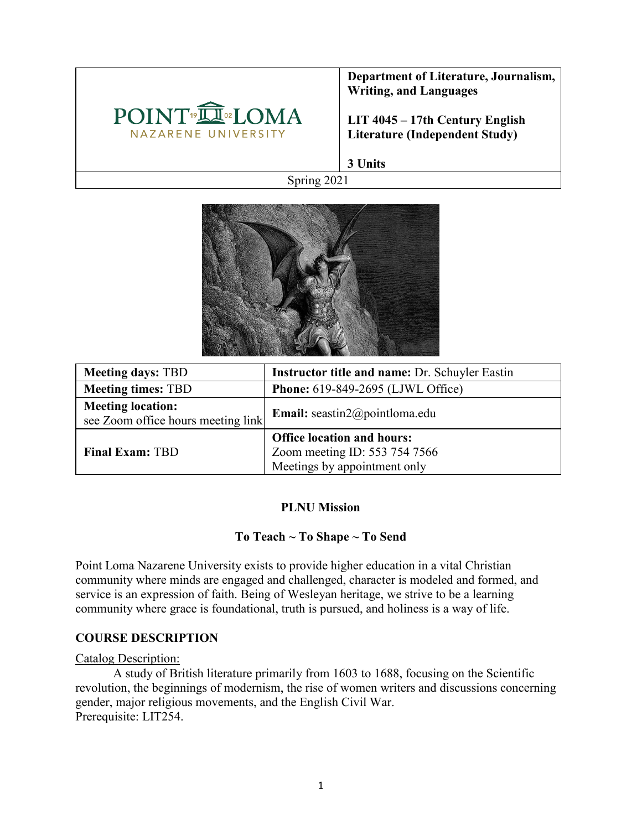

**Department of Literature, Journalism, Writing, and Languages** 

**LIT 4045 – 17th Century English Literature (Independent Study)**

**3 Units**

Spring 2021



| <b>Meeting days: TBD</b>                                       | <b>Instructor title and name: Dr. Schuyler Eastin</b>                                              |
|----------------------------------------------------------------|----------------------------------------------------------------------------------------------------|
| <b>Meeting times: TBD</b>                                      | Phone: 619-849-2695 (LJWL Office)                                                                  |
| <b>Meeting location:</b><br>see Zoom office hours meeting link | Email: seastin2@pointloma.edu                                                                      |
| <b>Final Exam: TBD</b>                                         | <b>Office location and hours:</b><br>Zoom meeting ID: 553 754 7566<br>Meetings by appointment only |

#### **PLNU Mission**

### **To Teach ~ To Shape ~ To Send**

Point Loma Nazarene University exists to provide higher education in a vital Christian community where minds are engaged and challenged, character is modeled and formed, and service is an expression of faith. Being of Wesleyan heritage, we strive to be a learning community where grace is foundational, truth is pursued, and holiness is a way of life.

#### **COURSE DESCRIPTION**

#### Catalog Description:

A study of British literature primarily from 1603 to 1688, focusing on the Scientific revolution, the beginnings of modernism, the rise of women writers and discussions concerning gender, major religious movements, and the English Civil War. Prerequisite: LIT254.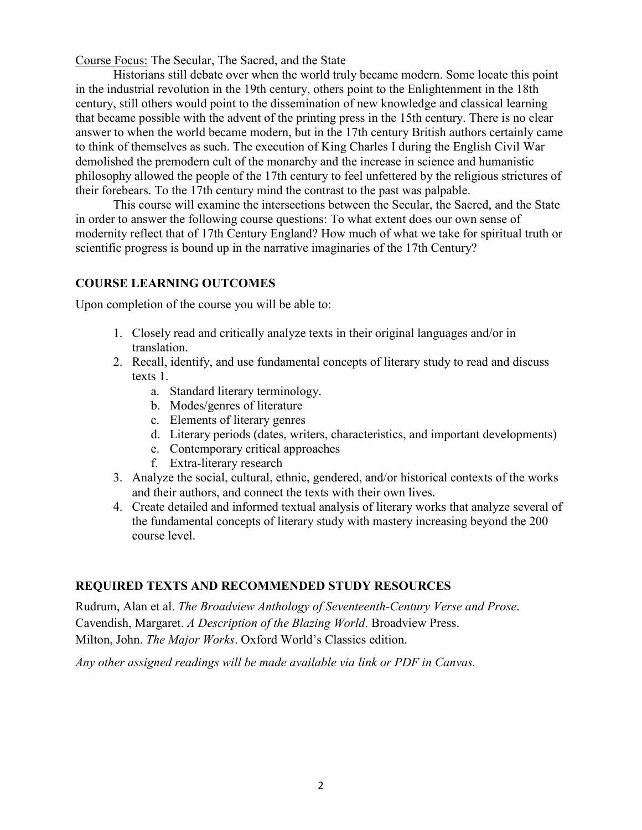Course Focus: The Secular, The Sacred, and the State

Historians still debate over when the world truly became modern. Some locate this point in the industrial revolution in the 19th century, others point to the Enlightenment in the 18th century, still others would point to the dissemination of new knowledge and classical learning that became possible with the advent of the printing press in the 15th century. There is no clear answer to when the world became modern, but in the 17th century British authors certainly came to think of themselves as such. The execution of King Charles I during the English Civil War demolished the premodern cult of the monarchy and the increase in science and humanistic philosophy allowed the people of the 17th century to feel unfettered by the religious strictures of their forebears. To the 17th century mind the contrast to the past was palpable.

This course will examine the intersections between the Secular, the Sacred, and the State in order to answer the following course questions: To what extent does our own sense of modernity reflect that of 17th Century England? How much of what we take for spiritual truth or scientific progress is bound up in the narrative imaginaries of the 17th Century?

#### **COURSE LEARNING OUTCOMES**

Upon completion of the course you will be able to:

- 1. Closely read and critically analyze texts in their original languages and/or in translation.
- 2. Recall, identify, and use fundamental concepts of literary study to read and discuss texts 1.
	- a. Standard literary terminology.
	- b. Modes/genres of literature
	- c. Elements of literary genres
	- d. Literary periods (dates, writers, characteristics, and important developments)
	- e. Contemporary critical approaches
	- f. Extra-literary research
- 3. Analyze the social, cultural, ethnic, gendered, and/or historical contexts of the works and their authors, and connect the texts with their own lives.
- 4. Create detailed and informed textual analysis of literary works that analyze several of the fundamental concepts of literary study with mastery increasing beyond the 200 course level.

### **REQUIRED TEXTS AND RECOMMENDED STUDY RESOURCES**

Rudrum, Alan et al. *The Broadview Anthology of Seventeenth-Century Verse and Prose*. Cavendish, Margaret. *A Description of the Blazing World*. Broadview Press. Milton, John. *The Major Works*. Oxford World's Classics edition.

*Any other assigned readings will be made available via link or PDF in Canvas.*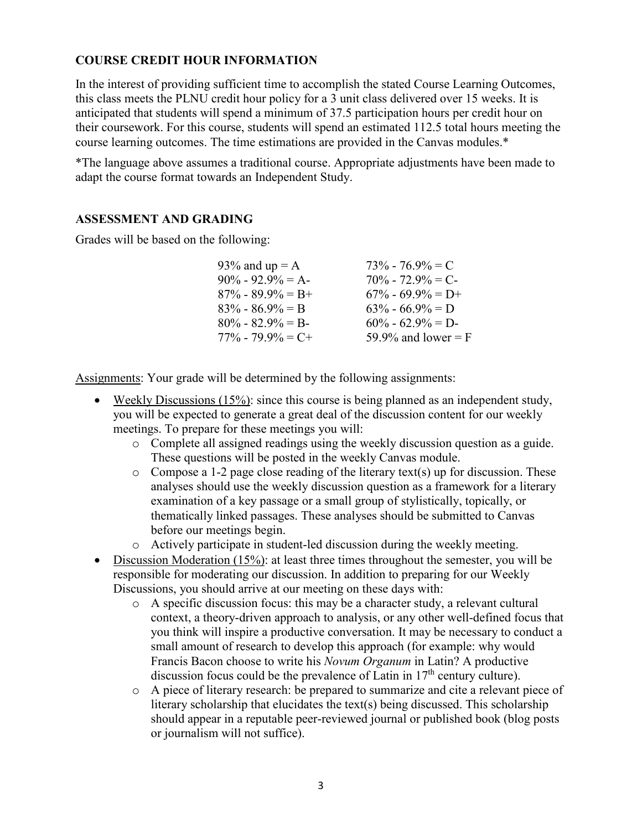## **COURSE CREDIT HOUR INFORMATION**

In the interest of providing sufficient time to accomplish the stated Course Learning Outcomes, this class meets the PLNU credit hour policy for a 3 unit class delivered over 15 weeks. It is anticipated that students will spend a minimum of 37.5 participation hours per credit hour on their coursework. For this course, students will spend an estimated 112.5 total hours meeting the course learning outcomes. The time estimations are provided in the Canvas modules.\*

\*The language above assumes a traditional course. Appropriate adjustments have been made to adapt the course format towards an Independent Study.

#### **ASSESSMENT AND GRADING**

Grades will be based on the following:

| 93% and $up = A$      | $73\% - 76.9\% = C$   |
|-----------------------|-----------------------|
| $90\% - 92.9\% = A$   | $70\% - 72.9\% = C$   |
| $87\% - 89.9\% = B +$ | $67\% - 69.9\% = D+$  |
| $83\% - 86.9\% = B$   | $63\% - 66.9\% = D$   |
| $80\% - 82.9\% = B$   | $60\% - 62.9\% = D$   |
| $77\% - 79.9\% = C +$ | 59.9% and lower = $F$ |

Assignments: Your grade will be determined by the following assignments:

- Weekly Discussions (15%): since this course is being planned as an independent study, you will be expected to generate a great deal of the discussion content for our weekly meetings. To prepare for these meetings you will:
	- o Complete all assigned readings using the weekly discussion question as a guide. These questions will be posted in the weekly Canvas module.
	- $\circ$  Compose a 1-2 page close reading of the literary text(s) up for discussion. These analyses should use the weekly discussion question as a framework for a literary examination of a key passage or a small group of stylistically, topically, or thematically linked passages. These analyses should be submitted to Canvas before our meetings begin.
	- o Actively participate in student-led discussion during the weekly meeting.
- Discussion Moderation (15%): at least three times throughout the semester, you will be responsible for moderating our discussion. In addition to preparing for our Weekly Discussions, you should arrive at our meeting on these days with:
	- o A specific discussion focus: this may be a character study, a relevant cultural context, a theory-driven approach to analysis, or any other well-defined focus that you think will inspire a productive conversation. It may be necessary to conduct a small amount of research to develop this approach (for example: why would Francis Bacon choose to write his *Novum Organum* in Latin? A productive discussion focus could be the prevalence of Latin in  $17<sup>th</sup>$  century culture).
	- o A piece of literary research: be prepared to summarize and cite a relevant piece of literary scholarship that elucidates the text(s) being discussed. This scholarship should appear in a reputable peer-reviewed journal or published book (blog posts or journalism will not suffice).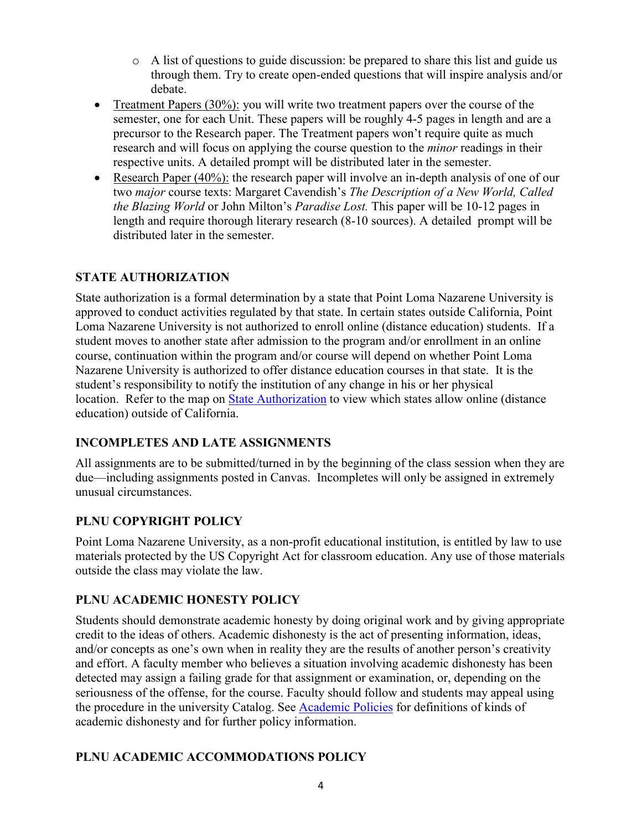- $\circ$  A list of questions to guide discussion: be prepared to share this list and guide us through them. Try to create open-ended questions that will inspire analysis and/or debate.
- Treatment Papers  $(30\%)$ : you will write two treatment papers over the course of the semester, one for each Unit. These papers will be roughly 4-5 pages in length and are a precursor to the Research paper. The Treatment papers won't require quite as much research and will focus on applying the course question to the *minor* readings in their respective units. A detailed prompt will be distributed later in the semester.
- Research Paper (40%): the research paper will involve an in-depth analysis of one of our two *major* course texts: Margaret Cavendish's *The Description of a New World, Called the Blazing World* or John Milton's *Paradise Lost.* This paper will be 10-12 pages in length and require thorough literary research (8-10 sources). A detailed prompt will be distributed later in the semester.

## **STATE AUTHORIZATION**

State authorization is a formal determination by a state that Point Loma Nazarene University is approved to conduct activities regulated by that state. In certain states outside California, Point Loma Nazarene University is not authorized to enroll online (distance education) students. If a student moves to another state after admission to the program and/or enrollment in an online course, continuation within the program and/or course will depend on whether Point Loma Nazarene University is authorized to offer distance education courses in that state. It is the student's responsibility to notify the institution of any change in his or her physical location. Refer to the map on [State Authorization](https://www.pointloma.edu/offices/office-institutional-effectiveness-research/disclosures) to view which states allow online (distance education) outside of California.

## **INCOMPLETES AND LATE ASSIGNMENTS**

All assignments are to be submitted/turned in by the beginning of the class session when they are due—including assignments posted in Canvas. Incompletes will only be assigned in extremely unusual circumstances.

### **PLNU COPYRIGHT POLICY**

Point Loma Nazarene University, as a non-profit educational institution, is entitled by law to use materials protected by the US Copyright Act for classroom education. Any use of those materials outside the class may violate the law.

## **PLNU ACADEMIC HONESTY POLICY**

Students should demonstrate academic honesty by doing original work and by giving appropriate credit to the ideas of others. Academic dishonesty is the act of presenting information, ideas, and/or concepts as one's own when in reality they are the results of another person's creativity and effort. A faculty member who believes a situation involving academic dishonesty has been detected may assign a failing grade for that assignment or examination, or, depending on the seriousness of the offense, for the course. Faculty should follow and students may appeal using the procedure in the university Catalog. See [Academic Policies](https://catalog.pointloma.edu/content.php?catoid=41&navoid=2435#Academic_Honesty) for definitions of kinds of academic dishonesty and for further policy information.

### **PLNU ACADEMIC ACCOMMODATIONS POLICY**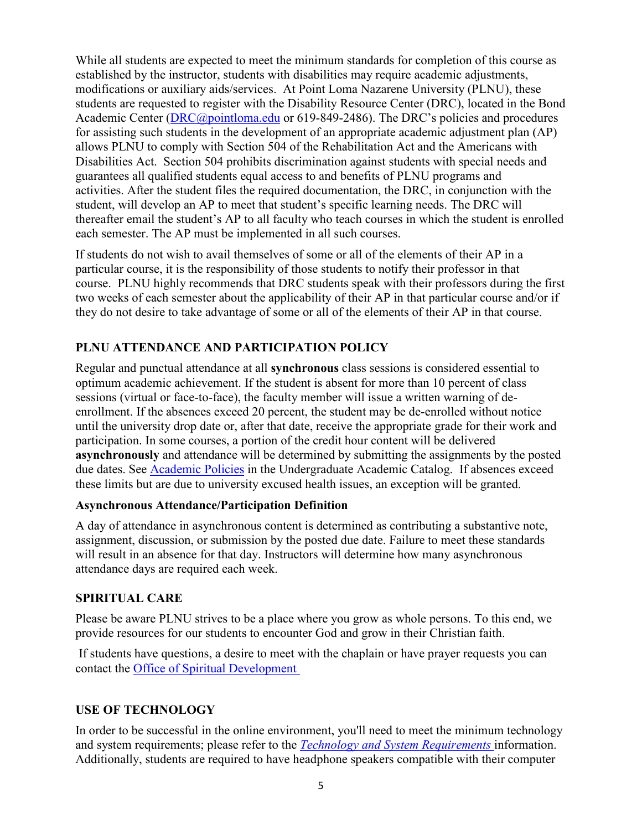While all students are expected to meet the minimum standards for completion of this course as established by the instructor, students with disabilities may require academic adjustments, modifications or auxiliary aids/services. At Point Loma Nazarene University (PLNU), these students are requested to register with the Disability Resource Center (DRC), located in the Bond Academic Center [\(DRC@pointloma.edu](mailto:DRC@pointloma.edu) or 619-849-2486). The DRC's policies and procedures for assisting such students in the development of an appropriate academic adjustment plan (AP) allows PLNU to comply with Section 504 of the Rehabilitation Act and the Americans with Disabilities Act. Section 504 prohibits discrimination against students with special needs and guarantees all qualified students equal access to and benefits of PLNU programs and activities. After the student files the required documentation, the DRC, in conjunction with the student, will develop an AP to meet that student's specific learning needs. The DRC will thereafter email the student's AP to all faculty who teach courses in which the student is enrolled each semester. The AP must be implemented in all such courses.

If students do not wish to avail themselves of some or all of the elements of their AP in a particular course, it is the responsibility of those students to notify their professor in that course. PLNU highly recommends that DRC students speak with their professors during the first two weeks of each semester about the applicability of their AP in that particular course and/or if they do not desire to take advantage of some or all of the elements of their AP in that course.

# **PLNU ATTENDANCE AND PARTICIPATION POLICY**

Regular and punctual attendance at all **synchronous** class sessions is considered essential to optimum academic achievement. If the student is absent for more than 10 percent of class sessions (virtual or face-to-face), the faculty member will issue a written warning of deenrollment. If the absences exceed 20 percent, the student may be de-enrolled without notice until the university drop date or, after that date, receive the appropriate grade for their work and participation. In some courses, a portion of the credit hour content will be delivered **asynchronously** and attendance will be determined by submitting the assignments by the posted due dates. See [Academic Policies](https://catalog.pointloma.edu/content.php?catoid=46&navoid=2650#Class_Attendance) in the Undergraduate Academic Catalog. If absences exceed these limits but are due to university excused health issues, an exception will be granted.

### **Asynchronous Attendance/Participation Definition**

A day of attendance in asynchronous content is determined as contributing a substantive note, assignment, discussion, or submission by the posted due date. Failure to meet these standards will result in an absence for that day. Instructors will determine how many asynchronous attendance days are required each week.

### **SPIRITUAL CARE**

Please be aware PLNU strives to be a place where you grow as whole persons. To this end, we provide resources for our students to encounter God and grow in their Christian faith.

If students have questions, a desire to meet with the chaplain or have prayer requests you can contact the [Office of Spiritual Development](https://www.pointloma.edu/offices/spiritual-development)

### **USE OF TECHNOLOGY**

In order to be successful in the online environment, you'll need to meet the minimum technology and system requirements; please refer to the *[Technology and System Requirements](https://help.pointloma.edu/TDClient/1808/Portal/KB/ArticleDet?ID=108349)* information. Additionally, students are required to have headphone speakers compatible with their computer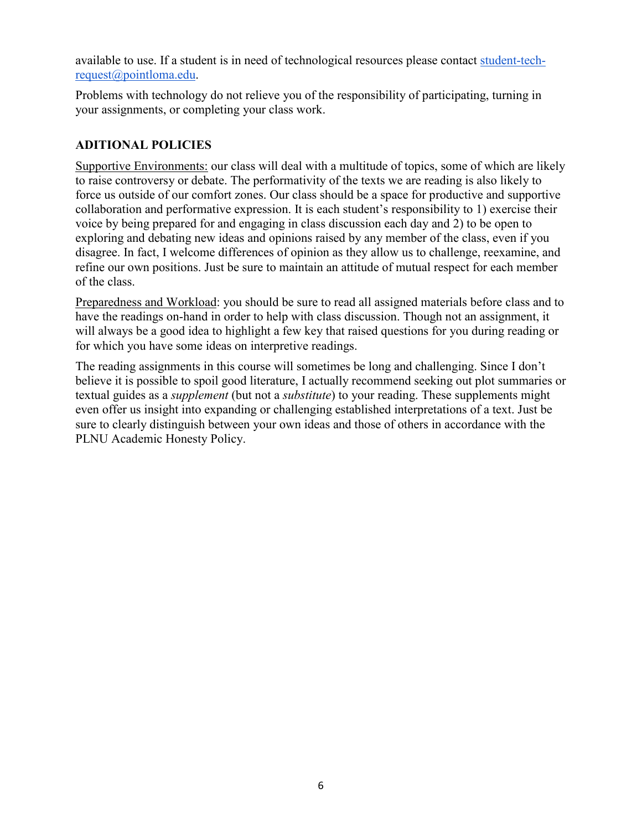available to use. If a student is in need of technological resources please contact [student-tech](mailto:student-tech-request@pointloma.edu)[request@pointloma.edu.](mailto:student-tech-request@pointloma.edu)

Problems with technology do not relieve you of the responsibility of participating, turning in your assignments, or completing your class work.

## **ADITIONAL POLICIES**

Supportive Environments: our class will deal with a multitude of topics, some of which are likely to raise controversy or debate. The performativity of the texts we are reading is also likely to force us outside of our comfort zones. Our class should be a space for productive and supportive collaboration and performative expression. It is each student's responsibility to 1) exercise their voice by being prepared for and engaging in class discussion each day and 2) to be open to exploring and debating new ideas and opinions raised by any member of the class, even if you disagree. In fact, I welcome differences of opinion as they allow us to challenge, reexamine, and refine our own positions. Just be sure to maintain an attitude of mutual respect for each member of the class.

Preparedness and Workload: you should be sure to read all assigned materials before class and to have the readings on-hand in order to help with class discussion. Though not an assignment, it will always be a good idea to highlight a few key that raised questions for you during reading or for which you have some ideas on interpretive readings.

The reading assignments in this course will sometimes be long and challenging. Since I don't believe it is possible to spoil good literature, I actually recommend seeking out plot summaries or textual guides as a *supplement* (but not a *substitute*) to your reading. These supplements might even offer us insight into expanding or challenging established interpretations of a text. Just be sure to clearly distinguish between your own ideas and those of others in accordance with the PLNU Academic Honesty Policy.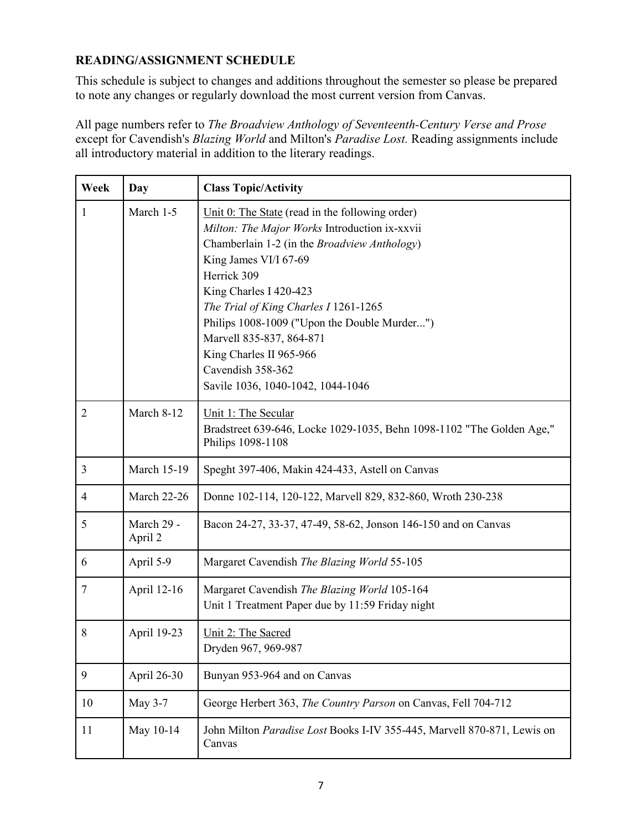## **READING/ASSIGNMENT SCHEDULE**

This schedule is subject to changes and additions throughout the semester so please be prepared to note any changes or regularly download the most current version from Canvas.

All page numbers refer to *The Broadview Anthology of Seventeenth-Century Verse and Prose*  except for Cavendish's *Blazing World* and Milton's *Paradise Lost.* Reading assignments include all introductory material in addition to the literary readings.

| Week           | Day                   | <b>Class Topic/Activity</b>                                                                                                                                                                                                                                                                                                                                                                                                     |
|----------------|-----------------------|---------------------------------------------------------------------------------------------------------------------------------------------------------------------------------------------------------------------------------------------------------------------------------------------------------------------------------------------------------------------------------------------------------------------------------|
| $\mathbf{1}$   | March 1-5             | Unit $0$ : The State (read in the following order)<br>Milton: The Major Works Introduction ix-xxvii<br>Chamberlain 1-2 (in the Broadview Anthology)<br>King James VI/I 67-69<br>Herrick 309<br>King Charles I 420-423<br>The Trial of King Charles I 1261-1265<br>Philips 1008-1009 ("Upon the Double Murder")<br>Marvell 835-837, 864-871<br>King Charles II 965-966<br>Cavendish 358-362<br>Savile 1036, 1040-1042, 1044-1046 |
| $\overline{2}$ | March 8-12            | Unit 1: The Secular<br>Bradstreet 639-646, Locke 1029-1035, Behn 1098-1102 "The Golden Age,"<br>Philips 1098-1108                                                                                                                                                                                                                                                                                                               |
| $\mathfrak{Z}$ | <b>March 15-19</b>    | Speght 397-406, Makin 424-433, Astell on Canvas                                                                                                                                                                                                                                                                                                                                                                                 |
| 4              | <b>March 22-26</b>    | Donne 102-114, 120-122, Marvell 829, 832-860, Wroth 230-238                                                                                                                                                                                                                                                                                                                                                                     |
| 5              | March 29 -<br>April 2 | Bacon 24-27, 33-37, 47-49, 58-62, Jonson 146-150 and on Canvas                                                                                                                                                                                                                                                                                                                                                                  |
| 6              | April 5-9             | Margaret Cavendish The Blazing World 55-105                                                                                                                                                                                                                                                                                                                                                                                     |
| 7              | April 12-16           | Margaret Cavendish The Blazing World 105-164<br>Unit 1 Treatment Paper due by 11:59 Friday night                                                                                                                                                                                                                                                                                                                                |
| 8              | April 19-23           | Unit 2: The Sacred<br>Dryden 967, 969-987                                                                                                                                                                                                                                                                                                                                                                                       |
| 9              | April 26-30           | Bunyan 953-964 and on Canvas                                                                                                                                                                                                                                                                                                                                                                                                    |
| 10             | May 3-7               | George Herbert 363, The Country Parson on Canvas, Fell 704-712                                                                                                                                                                                                                                                                                                                                                                  |
| 11             | May 10-14             | John Milton Paradise Lost Books I-IV 355-445, Marvell 870-871, Lewis on<br>Canvas                                                                                                                                                                                                                                                                                                                                               |